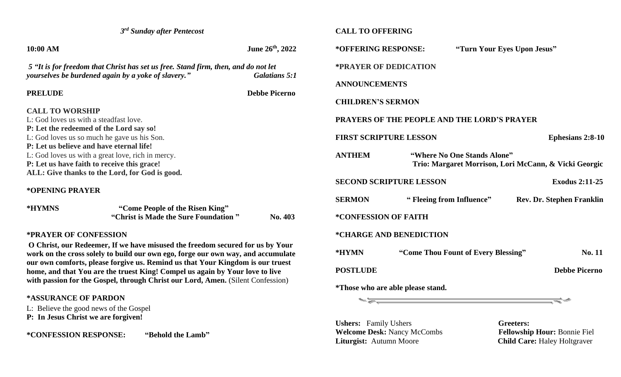| 3 <sup>rd</sup> Sunday after Pentecost                                                                                                                         |                                                                                                                                           |                      | <b>CALL TO OFFERING</b>                                  |                                          |                                                       |  |
|----------------------------------------------------------------------------------------------------------------------------------------------------------------|-------------------------------------------------------------------------------------------------------------------------------------------|----------------------|----------------------------------------------------------|------------------------------------------|-------------------------------------------------------|--|
| 10:00 AM                                                                                                                                                       |                                                                                                                                           | June 26th, 2022      | *OFFERING RESPONSE:                                      |                                          | "Turn Your Eyes Upon Jesus"                           |  |
|                                                                                                                                                                | 5 "It is for freedom that Christ has set us free. Stand firm, then, and do not let<br>yourselves be burdened again by a yoke of slavery." | <b>Galatians 5:1</b> | *PRAYER OF DEDICATION                                    |                                          |                                                       |  |
|                                                                                                                                                                |                                                                                                                                           |                      | <b>ANNOUNCEMENTS</b>                                     |                                          |                                                       |  |
| <b>PRELUDE</b>                                                                                                                                                 |                                                                                                                                           | <b>Debbe Picerno</b> |                                                          |                                          |                                                       |  |
|                                                                                                                                                                |                                                                                                                                           |                      | <b>CHILDREN'S SERMON</b>                                 |                                          |                                                       |  |
| <b>CALL TO WORSHIP</b>                                                                                                                                         |                                                                                                                                           |                      |                                                          |                                          |                                                       |  |
| L: God loves us with a steadfast love.                                                                                                                         |                                                                                                                                           |                      | <b>PRAYERS OF THE PEOPLE AND THE LORD'S PRAYER</b>       |                                          |                                                       |  |
|                                                                                                                                                                | P: Let the redeemed of the Lord say so!                                                                                                   |                      |                                                          |                                          |                                                       |  |
| L: God loves us so much he gave us his Son.                                                                                                                    |                                                                                                                                           |                      | <b>FIRST SCRIPTURE LESSON</b><br><b>Ephesians 2:8-10</b> |                                          |                                                       |  |
|                                                                                                                                                                | P: Let us believe and have eternal life!                                                                                                  |                      | <b>ANTHEM</b>                                            |                                          |                                                       |  |
|                                                                                                                                                                | L: God loves us with a great love, rich in mercy.<br>P: Let us have faith to receive this grace!                                          |                      |                                                          | "Where No One Stands Alone"              |                                                       |  |
|                                                                                                                                                                | ALL: Give thanks to the Lord, for God is good.                                                                                            |                      |                                                          |                                          | Trio: Margaret Morrison, Lori McCann, & Vicki Georgic |  |
|                                                                                                                                                                |                                                                                                                                           |                      |                                                          | <b>SECOND SCRIPTURE LESSON</b>           | <b>Exodus 2:11-25</b>                                 |  |
| *OPENING PRAYER                                                                                                                                                |                                                                                                                                           |                      |                                                          |                                          |                                                       |  |
|                                                                                                                                                                |                                                                                                                                           |                      | <b>SERMON</b>                                            | "Fleeing from Influence"                 | <b>Rev. Dr. Stephen Franklin</b>                      |  |
| *HYMNS                                                                                                                                                         | "Come People of the Risen King"                                                                                                           |                      |                                                          |                                          |                                                       |  |
|                                                                                                                                                                | "Christ is Made the Sure Foundation"                                                                                                      | No. 403              | *CONFESSION OF FAITH                                     |                                          |                                                       |  |
|                                                                                                                                                                | <b>*PRAYER OF CONFESSION</b>                                                                                                              |                      |                                                          | *CHARGE AND BENEDICTION                  |                                                       |  |
|                                                                                                                                                                | O Christ, our Redeemer, If we have misused the freedom secured for us by Your                                                             |                      |                                                          |                                          |                                                       |  |
| work on the cross solely to build our own ego, forge our own way, and accumulate                                                                               |                                                                                                                                           |                      | *HYMN                                                    | "Come Thou Fount of Every Blessing"      | No. 11                                                |  |
| our own comforts, please forgive us. Remind us that Your Kingdom is our truest<br>home, and that You are the truest King! Compel us again by Your love to live |                                                                                                                                           |                      | <b>POSTLUDE</b>                                          |                                          | <b>Debbe Picerno</b>                                  |  |
|                                                                                                                                                                | with passion for the Gospel, through Christ our Lord, Amen. (Silent Confession)                                                           |                      |                                                          |                                          |                                                       |  |
|                                                                                                                                                                |                                                                                                                                           |                      |                                                          | <i>*Those who are able please stand.</i> |                                                       |  |
| *ASSURANCE OF PARDON                                                                                                                                           |                                                                                                                                           |                      | ~ਙ.                                                      |                                          | ₹∸                                                    |  |
|                                                                                                                                                                | L: Believe the good news of the Gospel                                                                                                    |                      |                                                          |                                          |                                                       |  |
| P: In Jesus Christ we are forgiven!                                                                                                                            |                                                                                                                                           |                      |                                                          |                                          |                                                       |  |
|                                                                                                                                                                |                                                                                                                                           |                      | <b>Ushers:</b> Family Ushers                             |                                          | Greeters:                                             |  |
| *CONFESSION RESPONSE:                                                                                                                                          | "Behold the Lamb"                                                                                                                         |                      |                                                          | <b>Welcome Desk: Nancy McCombs</b>       | <b>Fellowship Hour: Bonnie Fiel</b>                   |  |
|                                                                                                                                                                |                                                                                                                                           |                      | Liturgist: Autumn Moore                                  |                                          | <b>Child Care: Haley Holtgraver</b>                   |  |